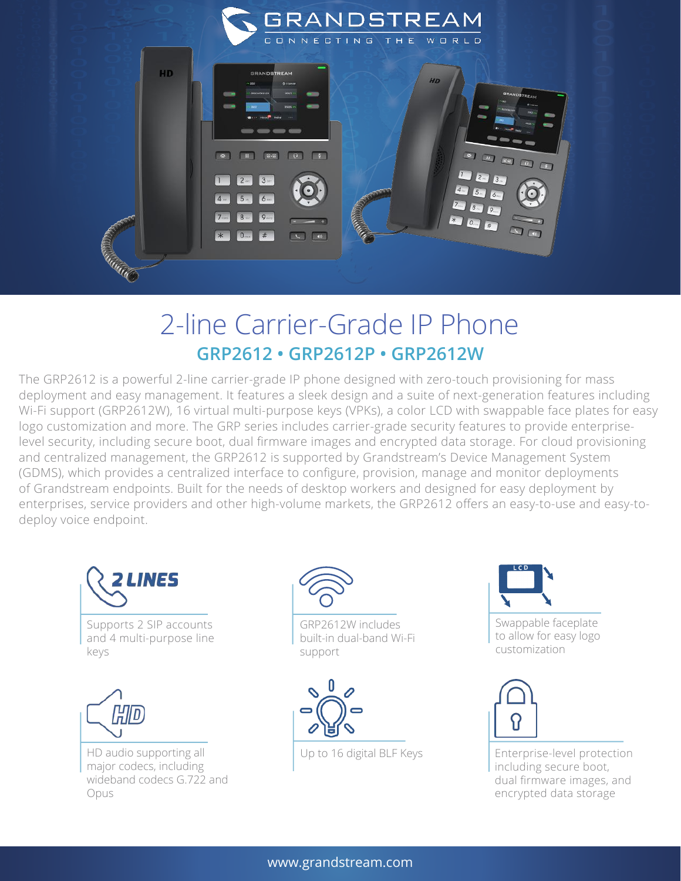

## 2-line Carrier-Grade IP Phone **GRP2612 • GRP2612P • GRP2612W**

The GRP2612 is a powerful 2-line carrier-grade IP phone designed with zero-touch provisioning for mass deployment and easy management. It features a sleek design and a suite of next-generation features including Wi-Fi support (GRP2612W), 16 virtual multi-purpose keys (VPKs), a color LCD with swappable face plates for easy logo customization and more. The GRP series includes carrier-grade security features to provide enterpriselevel security, including secure boot, dual firmware images and encrypted data storage. For cloud provisioning and centralized management, the GRP2612 is supported by Grandstream's Device Management System (GDMS), which provides a centralized interface to configure, provision, manage and monitor deployments of Grandstream endpoints. Built for the needs of desktop workers and designed for easy deployment by enterprises, service providers and other high-volume markets, the GRP2612 offers an easy-to-use and easy-todeploy voice endpoint.





GRP2612W includes built-in dual-band Wi-Fi support



Swappable faceplate to allow for easy logo customization



Up to 16 digital BLF Keys<br>
Enterprise-level protection including secure boot, dual firmware images, and encrypted data storage